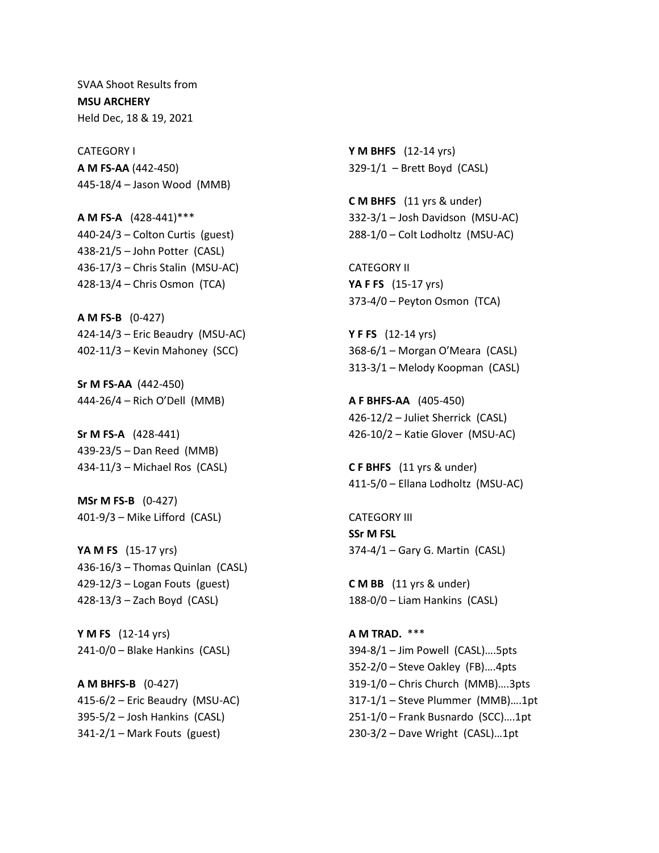SVAA Shoot Results from **MSU ARCHERY** Held Dec, 18 & 19, 2021

CATEGORY I **A M FS-AA** (442-450) 445-18/4 – Jason Wood (MMB)

**A M FS-A** (428-441)\*\*\* 440-24/3 – Colton Curtis (guest) 438-21/5 – John Potter (CASL) 436-17/3 – Chris Stalin (MSU-AC) 428-13/4 – Chris Osmon (TCA)

**A M FS-B** (0-427) 424-14/3 – Eric Beaudry (MSU-AC) 402-11/3 – Kevin Mahoney (SCC)

**Sr M FS-AA** (442-450) 444-26/4 – Rich O'Dell (MMB)

**Sr M FS-A** (428-441) 439-23/5 – Dan Reed (MMB) 434-11/3 – Michael Ros (CASL)

**MSr M FS-B** (0-427) 401-9/3 – Mike Lifford (CASL)

**YA M FS** (15-17 yrs) 436-16/3 – Thomas Quinlan (CASL) 429-12/3 – Logan Fouts (guest) 428-13/3 – Zach Boyd (CASL)

**Y M FS** (12-14 yrs) 241-0/0 – Blake Hankins (CASL)

**A M BHFS-B** (0-427) 415-6/2 – Eric Beaudry (MSU-AC) 395-5/2 – Josh Hankins (CASL)  $341-2/1$  – Mark Fouts (guest)

**Y M BHFS** (12-14 yrs) 329-1/1 – Brett Boyd (CASL)

**C M BHFS** (11 yrs & under) 332-3/1 – Josh Davidson (MSU-AC) 288-1/0 – Colt Lodholtz (MSU-AC)

CATEGORY II **YA F FS** (15-17 yrs) 373-4/0 – Peyton Osmon (TCA)

**Y F FS** (12-14 yrs) 368-6/1 – Morgan O'Meara (CASL) 313-3/1 – Melody Koopman (CASL)

**A F BHFS-AA** (405-450) 426-12/2 – Juliet Sherrick (CASL) 426-10/2 – Katie Glover (MSU-AC)

**C F BHFS** (11 yrs & under) 411-5/0 – Ellana Lodholtz (MSU-AC)

CATEGORY III **SSr M FSL** 374-4/1 – Gary G. Martin (CASL)

**C M BB** (11 yrs & under) 188-0/0 – Liam Hankins (CASL)

**A M TRAD.** \*\*\* 394-8/1 – Jim Powell (CASL)….5pts 352-2/0 – Steve Oakley (FB)….4pts 319-1/0 – Chris Church (MMB)….3pts 317-1/1 – Steve Plummer (MMB)….1pt 251-1/0 – Frank Busnardo (SCC)….1pt 230-3/2 – Dave Wright (CASL)…1pt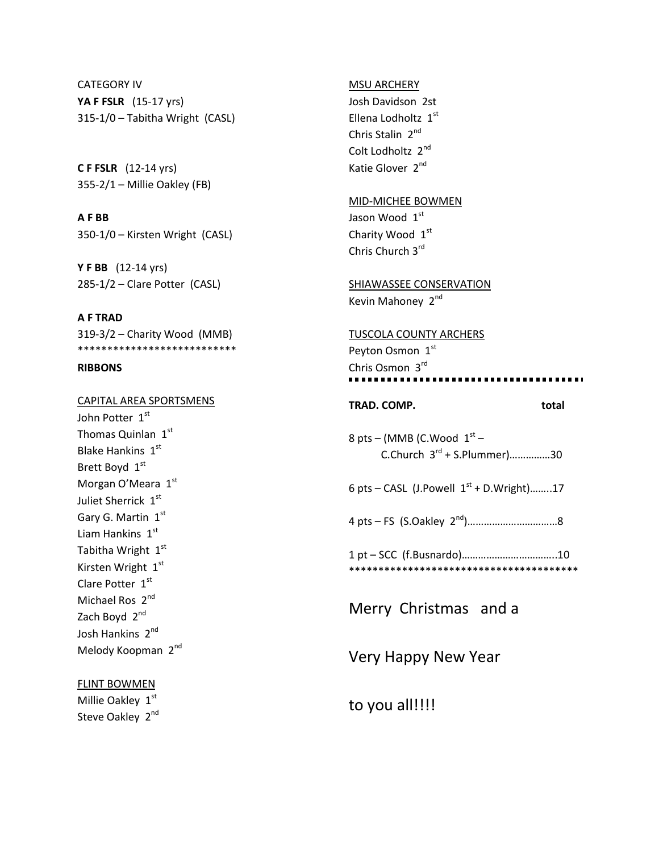CATEGORY IV **YA F FSLR** (15-17 yrs) 315-1/0 – Tabitha Wright (CASL)

**C F FSLR** (12-14 yrs) 355-2/1 – Millie Oakley (FB)

**A F BB** 350-1/0 – Kirsten Wright (CASL)

**Y F BB** (12-14 yrs) 285-1/2 – Clare Potter (CASL)

**A F TRAD** 319-3/2 – Charity Wood (MMB) \*\*\*\*\*\*\*\*\*\*\*\*\*\*\*\*\*\*\*\*\*\*\*\*\*\*\*

### **RIBBONS**

CAPITAL AREA SPORTSMENS John Potter 1st Thomas Quinlan  $1<sup>st</sup>$ Blake Hankins 1st Brett Boyd 1st Morgan O'Meara 1st Juliet Sherrick 1st Gary G. Martin 1st Liam Hankins 1st Tabitha Wright 1st Kirsten Wright 1st Clare Potter 1st Michael Ros 2<sup>nd</sup> Zach Boyd 2<sup>nd</sup> Josh Hankins 2nd Melody Koopman 2<sup>nd</sup>

## FLINT BOWMEN

Millie Oakley 1st Steve Oakley 2<sup>nd</sup>

#### MSU ARCHERY

Josh Davidson 2st Ellena Lodholtz 1st Chris Stalin 2<sup>nd</sup> Colt Lodholtz 2<sup>nd</sup> Katie Glover 2<sup>nd</sup>

## MID-MICHEE BOWMEN

Jason Wood 1st Charity Wood 1st Chris Church 3rd

SHIAWASSEE CONSERVATION Kevin Mahoney 2<sup>nd</sup>

TUSCOLA COUNTY ARCHERS Peyton Osmon 1st Chris Osmon 3rd . . . . . . . . .

# **TRAD. COMP.** total

8 pts – (MMB (C.Wood  $1^\text{st}$  –  $C.$ Church  $3^{rd}$  + S.Plummer)................30

6 pts – CASL (J.Powell  $1^{st}$  + D.Wright)........17

4 pts – FS (S.Oakley 2nd)……………………………8

1 pt – SCC (f.Busnardo)……………………………..10 \*\*\*\*\*\*\*\*\*\*\*\*\*\*\*\*\*\*\*\*\*\*\*\*\*\*\*\*\*\*\*\*\*\*\*\*\*\*\*

Merry Christmas and a

Very Happy New Year

to you all!!!!